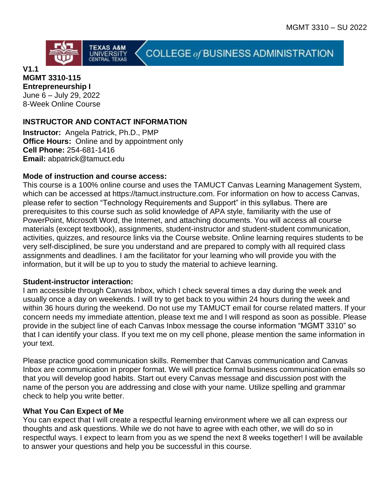

**V1.1**

#### **MGMT 3310-115 Entrepreneurship I**

June 6 – July 29, 2022 8-Week Online Course

## **INSTRUCTOR AND CONTACT INFORMATION**

**Instructor:** Angela Patrick, Ph.D., PMP **Office Hours:** Online and by appointment only **Cell Phone:** 254-681-1416 **Email:** abpatrick@tamuct.edu

### **Mode of instruction and course access:**

This course is a 100% online course and uses the TAMUCT Canvas Learning Management System, which can be accessed at https://tamuct.instructure.com. For information on how to access Canvas, please refer to section "Technology Requirements and Support" in this syllabus. There are prerequisites to this course such as solid knowledge of APA style, familiarity with the use of PowerPoint, Microsoft Word, the Internet, and attaching documents. You will access all course materials (except textbook), assignments, student-instructor and student-student communication, activities, quizzes, and resource links via the Course website. Online learning requires students to be very self-disciplined, be sure you understand and are prepared to comply with all required class assignments and deadlines. I am the facilitator for your learning who will provide you with the information, but it will be up to you to study the material to achieve learning.

COLLEGE of BUSINESS ADMINISTRATION

### **Student-instructor interaction:**

I am accessible through Canvas Inbox, which I check several times a day during the week and usually once a day on weekends. I will try to get back to you within 24 hours during the week and within 36 hours during the weekend. Do not use my TAMUCT email for course related matters. If your concern needs my immediate attention, please text me and I will respond as soon as possible. Please provide in the subject line of each Canvas Inbox message the course information "MGMT 3310" so that I can identify your class. If you text me on my cell phone, please mention the same information in your text.

Please practice good communication skills. Remember that Canvas communication and Canvas Inbox are communication in proper format. We will practice formal business communication emails so that you will develop good habits. Start out every Canvas message and discussion post with the name of the person you are addressing and close with your name. Utilize spelling and grammar check to help you write better.

### **What You Can Expect of Me**

You can expect that I will create a respectful learning environment where we all can express our thoughts and ask questions. While we do not have to agree with each other, we will do so in respectful ways. I expect to learn from you as we spend the next 8 weeks together! I will be available to answer your questions and help you be successful in this course.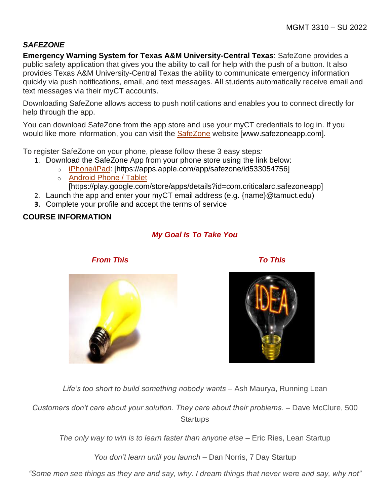## *SAFEZONE*

**Emergency Warning System for Texas A&M University-Central Texas**: SafeZone provides a public safety application that gives you the ability to call for help with the push of a button. It also provides Texas A&M University-Central Texas the ability to communicate emergency information quickly via push notifications, email, and text messages. All students automatically receive email and text messages via their myCT accounts.

Downloading SafeZone allows access to push notifications and enables you to connect directly for help through the app.

You can download SafeZone from the app store and use your myCT credentials to log in. If you would like more information, you can visit the [SafeZone](http://www.safezoneapp.com/) website [www.safezoneapp.com].

To register SafeZone on your phone, please follow these 3 easy steps*:*

- 1. Download the SafeZone App from your phone store using the link below:
	- o [iPhone/iPad:](https://apps.apple.com/app/safezone/id533054756) [https://apps.apple.com/app/safezone/id533054756]
	- o [Android Phone / Tablet](https://play.google.com/store/apps/details?id=com.criticalarc.safezoneapp) [https://play.google.com/store/apps/details?id=com.criticalarc.safezoneapp]
- 2. Launch the app and enter your myCT email address (e.g. {name}@tamuct.edu)
- **3.** Complete your profile and accept the terms of service

### **COURSE INFORMATION**

# *My Goal Is To Take You*



*From This To This*



Life's too short to build something nobody wants – Ash Maurya, Running Lean

*Customers don't care about your solution. They care about their problems.* – Dave McClure, 500 **Startups** 

*The only way to win is to learn faster than anyone else –* Eric Ries, Lean Startup

*You don't learn until you launch –* Dan Norris, 7 Day Startup

*"Some men see things as they are and say, why. I dream things that never were and say, why not"*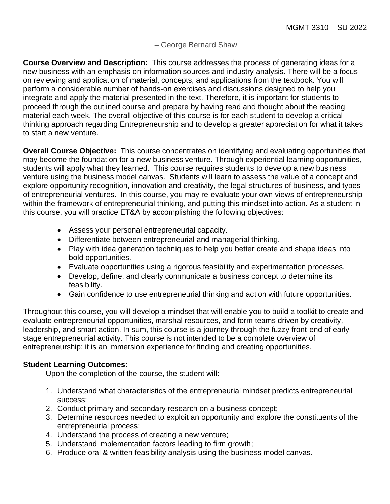### *–* George Bernard Shaw

**Course Overview and Description:** This course addresses the process of generating ideas for a new business with an emphasis on information sources and industry analysis. There will be a focus on reviewing and application of material, concepts, and applications from the textbook. You will perform a considerable number of hands-on exercises and discussions designed to help you integrate and apply the material presented in the text. Therefore, it is important for students to proceed through the outlined course and prepare by having read and thought about the reading material each week. The overall objective of this course is for each student to develop a critical thinking approach regarding Entrepreneurship and to develop a greater appreciation for what it takes to start a new venture.

**Overall Course Objective:** This course concentrates on identifying and evaluating opportunities that may become the foundation for a new business venture. Through experiential learning opportunities, students will apply what they learned. This course requires students to develop a new business venture using the business model canvas. Students will learn to assess the value of a concept and explore opportunity recognition, innovation and creativity, the legal structures of business, and types of entrepreneurial ventures. In this course, you may re-evaluate your own views of entrepreneurship within the framework of entrepreneurial thinking, and putting this mindset into action. As a student in this course, you will practice ET&A by accomplishing the following objectives:

- Assess your personal entrepreneurial capacity.
- Differentiate between entrepreneurial and managerial thinking.
- Play with idea generation techniques to help you better create and shape ideas into bold opportunities.
- Evaluate opportunities using a rigorous feasibility and experimentation processes.
- Develop, define, and clearly communicate a business concept to determine its feasibility.
- Gain confidence to use entrepreneurial thinking and action with future opportunities.

Throughout this course, you will develop a mindset that will enable you to build a toolkit to create and evaluate entrepreneurial opportunities, marshal resources, and form teams driven by creativity, leadership, and smart action. In sum, this course is a journey through the fuzzy front-end of early stage entrepreneurial activity. This course is not intended to be a complete overview of entrepreneurship; it is an immersion experience for finding and creating opportunities.

### **Student Learning Outcomes:**

Upon the completion of the course, the student will:

- 1. Understand what characteristics of the entrepreneurial mindset predicts entrepreneurial success;
- 2. Conduct primary and secondary research on a business concept;
- 3. Determine resources needed to exploit an opportunity and explore the constituents of the entrepreneurial process;
- 4. Understand the process of creating a new venture;
- 5. Understand implementation factors leading to firm growth;
- 6. Produce oral & written feasibility analysis using the business model canvas.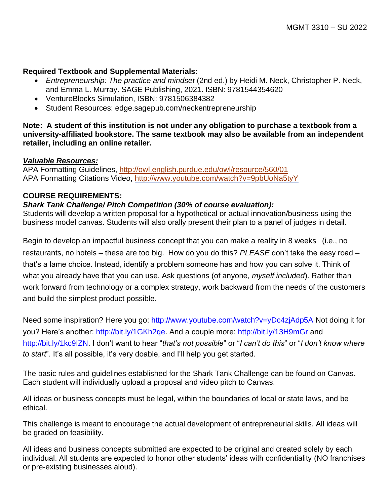### **Required Textbook and Supplemental Materials:**

- *Entrepreneurship: The practice and mindset* (2nd ed.) by Heidi M. Neck, Christopher P. Neck, and Emma L. Murray. SAGE Publishing, 2021. ISBN: 9781544354620
- VentureBlocks Simulation, ISBN: 9781506384382
- Student Resources: edge.sagepub.com/neckentrepreneurship

**Note: A student of this institution is not under any obligation to purchase a textbook from a university-affiliated bookstore. The same textbook may also be available from an independent retailer, including an online retailer.**

#### *Valuable Resources:*

APA Formatting Guidelines,<http://owl.english.purdue.edu/owl/resource/560/01> APA Formatting Citations Video,<http://www.youtube.com/watch?v=9pbUoNa5tyY>

### **COURSE REQUIREMENTS:**

### *Shark Tank Challenge/ Pitch Competition (30% of course evaluation):*

Students will develop a written proposal for a hypothetical or actual innovation/business using the business model canvas. Students will also orally present their plan to a panel of judges in detail.

Begin to develop an impactful business concept that you can make a reality in 8 weeks (i.e., no restaurants, no hotels – these are too big. How do you do this? *PLEASE* don't take the easy road – that's a lame choice. Instead, identify a problem someone has and how you can solve it. Think of what you already have that you can use. Ask questions (of anyone, *myself included*). Rather than work forward from technology or a complex strategy, work backward from the needs of the customers and build the simplest product possible.

Need some inspiration? Here you go: http://www.youtube.com/watch?v=yDc4zjAdp5A Not doing it for you? Here's another: http://bit.ly/1GKh2qe. And a couple more: http://bit.ly/13H9mGr and http://bit.ly/1kc9IZN. I don't want to hear "*that's not possible*" or "*I can't do this*" or "*I don't know where to start*". It's all possible, it's very doable, and I'll help you get started.

The basic rules and guidelines established for the Shark Tank Challenge can be found on Canvas. Each student will individually upload a proposal and video pitch to Canvas.

All ideas or business concepts must be legal, within the boundaries of local or state laws, and be ethical.

This challenge is meant to encourage the actual development of entrepreneurial skills. All ideas will be graded on feasibility.

All ideas and business concepts submitted are expected to be original and created solely by each individual. All students are expected to honor other students' ideas with confidentiality (NO franchises or pre-existing businesses aloud).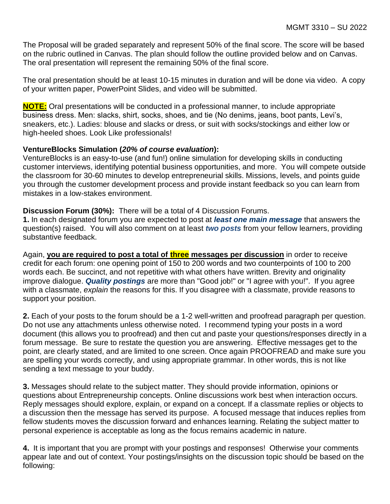The Proposal will be graded separately and represent 50% of the final score. The score will be based on the rubric outlined in Canvas. The plan should follow the outline provided below and on Canvas. The oral presentation will represent the remaining 50% of the final score.

The oral presentation should be at least 10-15 minutes in duration and will be done via video. A copy of your written paper, PowerPoint Slides, and video will be submitted.

**NOTE:** Oral presentations will be conducted in a professional manner, to include appropriate business dress. Men: slacks, shirt, socks, shoes, and tie (No denims, jeans, boot pants, Levi's, sneakers, etc.). Ladies: blouse and slacks or dress, or suit with socks/stockings and either low or high-heeled shoes. Look Like professionals!

### **VentureBlocks Simulation (***20% of course evaluation***):**

VentureBlocks is an easy-to-use (and fun!) online simulation for developing skills in conducting customer interviews, identifying potential business opportunities, and more. You will compete outside the classroom for 30-60 minutes to develop entrepreneurial skills. Missions, levels, and points guide you through the customer development process and provide instant feedback so you can learn from mistakes in a low-stakes environment.

#### **Discussion Forum (30%):** There will be a total of 4 Discussion Forums.

**1.** In each designated forum you are expected to post at *least one main message* that answers the question(s) raised. You will also comment on at least *two posts* from your fellow learners, providing substantive feedback.

Again, **you are required to post a total of three messages per discussion** in order to receive credit for each forum: one opening point of 150 to 200 words and two counterpoints of 100 to 200 words each. Be succinct, and not repetitive with what others have written. Brevity and originality improve dialogue. *Quality postings* are more than "Good job!" or "I agree with you!". If you agree with a classmate, *explain* the reasons for this. If you disagree with a classmate, provide reasons to support your position.

**2.** Each of your posts to the forum should be a 1-2 well-written and proofread paragraph per question. Do not use any attachments unless otherwise noted. I recommend typing your posts in a word document (this allows you to proofread) and then cut and paste your questions/responses directly in a forum message. Be sure to restate the question you are answering. Effective messages get to the point, are clearly stated, and are limited to one screen. Once again PROOFREAD and make sure you are spelling your words correctly, and using appropriate grammar. In other words, this is not like sending a text message to your buddy.

**3.** Messages should relate to the subject matter. They should provide information, opinions or questions about Entrepreneurship concepts. Online discussions work best when interaction occurs. Reply messages should explore, explain, or expand on a concept. If a classmate replies or objects to a discussion then the message has served its purpose. A focused message that induces replies from fellow students moves the discussion forward and enhances learning. Relating the subject matter to personal experience is acceptable as long as the focus remains academic in nature.

**4.** It is important that you are prompt with your postings and responses! Otherwise your comments appear late and out of context. Your postings/insights on the discussion topic should be based on the following: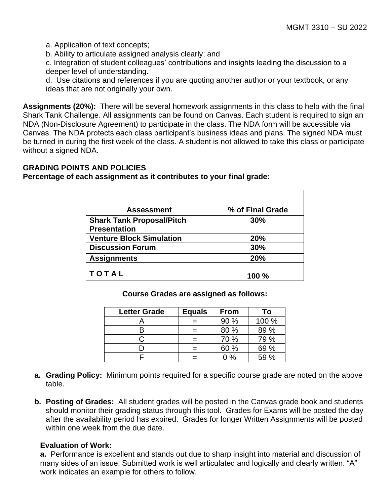a. Application of text concepts;

b. Ability to articulate assigned analysis clearly; and

c. Integration of student colleagues' contributions and insights leading the discussion to a deeper level of understanding.

d. Use citations and references if you are quoting another author or your textbook, or any ideas that are not originally your own.

**Assignments (20%):** There will be several homework assignments in this class to help with the final Shark Tank Challenge. All assignments can be found on Canvas. Each student is required to sign an NDA (Non-Disclosure Agreement) to participate in the class. The NDA form will be accessible via Canvas. The NDA protects each class participant's business ideas and plans. The signed NDA must be turned in during the first week of the class. A student is not allowed to take this class or participate without a signed NDA.

### **GRADING POINTS AND POLICIES**

**Percentage of each assignment as it contributes to your final grade:**

| <b>Assessment</b>                | % of Final Grade |
|----------------------------------|------------------|
| <b>Shark Tank Proposal/Pitch</b> | 30%              |
| <b>Presentation</b>              |                  |
| <b>Venture Block Simulation</b>  | 20%              |
| <b>Discussion Forum</b>          | 30%              |
| <b>Assignments</b>               | 20%              |
| <b>TOTAL</b>                     | <b>100 %</b>     |

**Course Grades are assigned as follows:**

| <b>Letter Grade</b> | <b>Equals</b> | <b>From</b> | To    |
|---------------------|---------------|-------------|-------|
|                     |               | 90 %        | 100 % |
|                     |               | 80 %        | 89 %  |
|                     |               | 70 %        | 79 %  |
|                     |               | 60 %        | 69 %  |
|                     |               | 0 %         | 59 %  |

- **a. Grading Policy:** Minimum points required for a specific course grade are noted on the above table.
- **b. Posting of Grades:** All student grades will be posted in the Canvas grade book and students should monitor their grading status through this tool. Grades for Exams will be posted the day after the availability period has expired. Grades for longer Written Assignments will be posted within one week from the due date

### **Evaluation of Work:**

**a.** Performance is excellent and stands out due to sharp insight into material and discussion of many sides of an issue. Submitted work is well articulated and logically and clearly written. "A" work indicates an example for others to follow.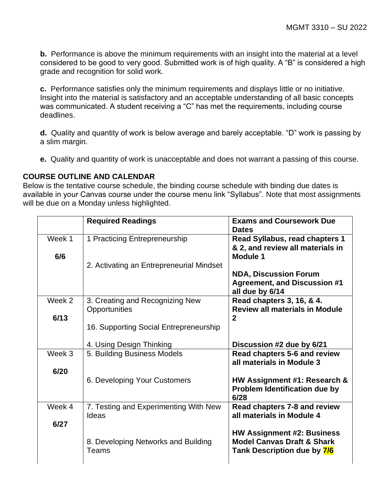**b.** Performance is above the minimum requirements with an insight into the material at a level considered to be good to very good. Submitted work is of high quality. A "B" is considered a high grade and recognition for solid work.

**c.** Performance satisfies only the minimum requirements and displays little or no initiative. Insight into the material is satisfactory and an acceptable understanding of all basic concepts was communicated. A student receiving a "C" has met the requirements, including course deadlines.

**d.** Quality and quantity of work is below average and barely acceptable. "D" work is passing by a slim margin.

**e.** Quality and quantity of work is unacceptable and does not warrant a passing of this course.

### **COURSE OUTLINE AND CALENDAR**

Below is the tentative course schedule, the binding course schedule with binding due dates is available in your Canvas course under the course menu link "Syllabus". Note that most assignments will be due on a Monday unless highlighted.

|        | <b>Required Readings</b>                         | <b>Exams and Coursework Due</b><br><b>Dates</b>                                                           |
|--------|--------------------------------------------------|-----------------------------------------------------------------------------------------------------------|
| Week 1 | 1 Practicing Entrepreneurship                    | Read Syllabus, read chapters 1<br>& 2, and review all materials in                                        |
| 6/6    | 2. Activating an Entrepreneurial Mindset         | <b>Module 1</b>                                                                                           |
|        |                                                  | <b>NDA, Discussion Forum</b><br><b>Agreement, and Discussion #1</b><br>all due by 6/14                    |
| Week 2 | 3. Creating and Recognizing New<br>Opportunities | Read chapters 3, 16, & 4.<br><b>Review all materials in Module</b>                                        |
| 6/13   | 16. Supporting Social Entrepreneurship           | $\overline{2}$                                                                                            |
|        | 4. Using Design Thinking                         | Discussion #2 due by 6/21                                                                                 |
| Week 3 | 5. Building Business Models                      | Read chapters 5-6 and review<br>all materials in Module 3                                                 |
| 6/20   | 6. Developing Your Customers                     | HW Assignment #1: Research &<br><b>Problem Identification due by</b><br>6/28                              |
| Week 4 | 7. Testing and Experimenting With New<br>Ideas   | Read chapters 7-8 and review<br>all materials in Module 4                                                 |
| 6/27   | 8. Developing Networks and Building<br>Teams     | <b>HW Assignment #2: Business</b><br><b>Model Canvas Draft &amp; Shark</b><br>Tank Description due by 7/6 |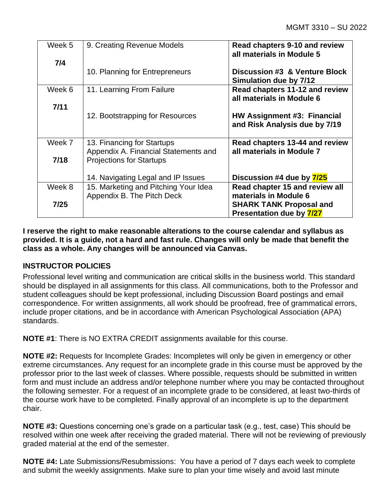| Week 5 | 9. Creating Revenue Models                                         | Read chapters 9-10 and review<br>all materials in Module 5   |
|--------|--------------------------------------------------------------------|--------------------------------------------------------------|
| 7/4    |                                                                    |                                                              |
|        | 10. Planning for Entrepreneurs                                     | Discussion #3 & Venture Block<br>Simulation due by 7/12      |
| Week 6 | 11. Learning From Failure                                          | Read chapters 11-12 and review<br>all materials in Module 6  |
| 7/11   |                                                                    |                                                              |
|        | 12. Bootstrapping for Resources                                    | HW Assignment #3: Financial<br>and Risk Analysis due by 7/19 |
| Week 7 | 13. Financing for Startups<br>Appendix A. Financial Statements and | Read chapters 13-44 and review<br>all materials in Module 7  |
| $7/18$ | <b>Projections for Startups</b>                                    |                                                              |
|        | 14. Navigating Legal and IP Issues                                 | Discussion #4 due by 7/25                                    |
| Week 8 | 15. Marketing and Pitching Your Idea<br>Appendix B. The Pitch Deck | Read chapter 15 and review all<br>materials in Module 6      |
| 7/25   |                                                                    | <b>SHARK TANK Proposal and</b><br>Presentation due by 7/27   |

**I reserve the right to make reasonable alterations to the course calendar and syllabus as provided. It is a guide, not a hard and fast rule. Changes will only be made that benefit the class as a whole. Any changes will be announced via Canvas.**

### **INSTRUCTOR POLICIES**

Professional level writing and communication are critical skills in the business world. This standard should be displayed in all assignments for this class. All communications, both to the Professor and student colleagues should be kept professional, including Discussion Board postings and email correspondence. For written assignments, all work should be proofread, free of grammatical errors, include proper citations, and be in accordance with American Psychological Association (APA) standards.

**NOTE #1**: There is NO EXTRA CREDIT assignments available for this course.

**NOTE #2:** Requests for Incomplete Grades: Incompletes will only be given in emergency or other extreme circumstances. Any request for an incomplete grade in this course must be approved by the professor prior to the last week of classes. Where possible, requests should be submitted in written form and must include an address and/or telephone number where you may be contacted throughout the following semester. For a request of an incomplete grade to be considered, at least two-thirds of the course work have to be completed. Finally approval of an incomplete is up to the department chair.

**NOTE #3:** Questions concerning one's grade on a particular task (e.g., test, case) This should be resolved within one week after receiving the graded material. There will not be reviewing of previously graded material at the end of the semester.

**NOTE #4:** Late Submissions/Resubmissions: You have a period of 7 days each week to complete and submit the weekly assignments. Make sure to plan your time wisely and avoid last minute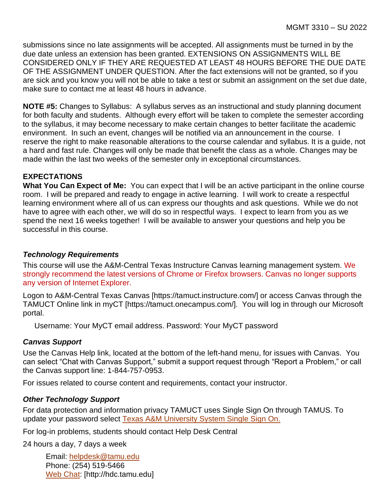submissions since no late assignments will be accepted. All assignments must be turned in by the due date unless an extension has been granted. EXTENSIONS ON ASSIGNMENTS WILL BE CONSIDERED ONLY IF THEY ARE REQUESTED AT LEAST 48 HOURS BEFORE THE DUE DATE OF THE ASSIGNMENT UNDER QUESTION. After the fact extensions will not be granted, so if you are sick and you know you will not be able to take a test or submit an assignment on the set due date, make sure to contact me at least 48 hours in advance.

**NOTE #5:** Changes to Syllabus: A syllabus serves as an instructional and study planning document for both faculty and students. Although every effort will be taken to complete the semester according to the syllabus, it may become necessary to make certain changes to better facilitate the academic environment. In such an event, changes will be notified via an announcement in the course. I reserve the right to make reasonable alterations to the course calendar and syllabus. It is a guide, not a hard and fast rule. Changes will only be made that benefit the class as a whole. Changes may be made within the last two weeks of the semester only in exceptional circumstances.

### **EXPECTATIONS**

**What You Can Expect of Me:** You can expect that I will be an active participant in the online course room. I will be prepared and ready to engage in active learning. I will work to create a respectful learning environment where all of us can express our thoughts and ask questions. While we do not have to agree with each other, we will do so in respectful ways. I expect to learn from you as we spend the next 16 weeks together! I will be available to answer your questions and help you be successful in this course.

### *Technology Requirements*

This course will use the A&M-Central Texas Instructure Canvas learning management system. We strongly recommend the latest versions of Chrome or Firefox browsers. Canvas no longer supports any version of Internet Explorer.

Logon to A&M-Central Texas Canvas [https://tamuct.instructure.com/] or access Canvas through the TAMUCT Online link in myCT [https://tamuct.onecampus.com/]. You will log in through our Microsoft portal.

Username: Your MyCT email address. Password: Your MyCT password

### *Canvas Support*

Use the Canvas Help link, located at the bottom of the left-hand menu, for issues with Canvas. You can select "Chat with Canvas Support," submit a support request through "Report a Problem," or call the Canvas support line: 1-844-757-0953.

For issues related to course content and requirements, contact your instructor.

### *Other Technology Support*

For data protection and information privacy TAMUCT uses Single Sign On through TAMUS. To update your password select [Texas A&M University System Single Sign On.](https://sso.tamus.edu/Logon.aspx?entityID=https%3A%2F%2Fsso.tamus.edu%2Fshibboleth&return=https%3A%2F%2Fsso.tamus.edu%2FShibboleth.sso%2FDS%3FSAMLDS%3D1%26target%3Dcookie%253A1597543334_da19)

For log-in problems, students should contact Help Desk Central

24 hours a day, 7 days a week

Email: [helpdesk@tamu.edu](mailto:helpdesk@tamu.edu) Phone: (254) 519-5466 [Web Chat:](http://hdc.tamu.edu/) [http://hdc.tamu.edu]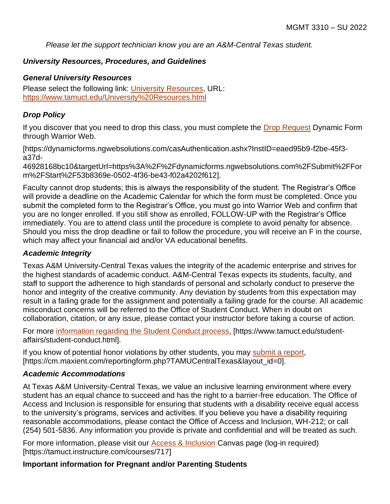*Please let the support technician know you are an A&M-Central Texas student.*

### *University Resources, Procedures, and Guidelines*

#### *General University Resources*

Please select the following link: [University Resources,](https://www.tamuct.edu/University%20Resources.html) URL: <https://www.tamuct.edu/University%20Resources.html>

### *Drop Policy*

If you discover that you need to drop this class, you must complete the [Drop Request](https://dynamicforms.ngwebsolutions.com/casAuthentication.ashx?InstID=eaed95b9-f2be-45f3-a37d-46928168bc10&targetUrl=https%3A%2F%2Fdynamicforms.ngwebsolutions.com%2FSubmit%2FForm%2FStart%2F53b8369e-0502-4f36-be43-f02a4202f612) Dynamic Form through Warrior Web.

[https://dynamicforms.ngwebsolutions.com/casAuthentication.ashx?InstID=eaed95b9-f2be-45f3 a37d-

46928168bc10&targetUrl=https%3A%2F%2Fdynamicforms.ngwebsolutions.com%2FSubmit%2FFor m%2FStart%2F53b8369e-0502-4f36-be43-f02a4202f612].

Faculty cannot drop students; this is always the responsibility of the student. The Registrar's Office will provide a deadline on the Academic Calendar for which the form must be completed. Once you submit the completed form to the Registrar's Office, you must go into Warrior Web and confirm that you are no longer enrolled. If you still show as enrolled, FOLLOW-UP with the Registrar's Office immediately. You are to attend class until the procedure is complete to avoid penalty for absence. Should you miss the drop deadline or fail to follow the procedure, you will receive an F in the course, which may affect your financial aid and/or VA educational benefits.

### *Academic Integrity*

Texas A&M University-Central Texas values the integrity of the academic enterprise and strives for the highest standards of academic conduct. A&M-Central Texas expects its students, faculty, and staff to support the adherence to high standards of personal and scholarly conduct to preserve the honor and integrity of the creative community. Any deviation by students from this expectation may result in a failing grade for the assignment and potentially a failing grade for the course. All academic misconduct concerns will be referred to the Office of Student Conduct. When in doubt on collaboration, citation, or any issue, please contact your instructor before taking a course of action.

For more [information](https://nam04.safelinks.protection.outlook.com/?url=https%3A%2F%2Fwww.tamuct.edu%2Fstudent-affairs%2Fstudent-conduct.html&data=04%7C01%7Clisa.bunkowski%40tamuct.edu%7Ccfb6e486f24745f53e1a08d910055cb2%7C9eed4e3000f744849ff193ad8005acec%7C0%7C0%7C637558437485252160%7CUnknown%7CTWFpbGZsb3d8eyJWIjoiMC4wLjAwMDAiLCJQIjoiV2luMzIiLCJBTiI6Ik1haWwiLCJXVCI6Mn0%3D%7C1000&sdata=yjftDEVHvLX%2FhM%2FcFU0B99krV1RgEWR%2BJ%2BhvtoR6TYk%3D&reserved=0) regarding the Student Conduct process, [https://www.tamuct.edu/studentaffairs/student-conduct.html].

If you know of potential honor violations by other students, you may [submit](https://nam04.safelinks.protection.outlook.com/?url=https%3A%2F%2Fcm.maxient.com%2Freportingform.php%3FTAMUCentralTexas%26layout_id%3D0&data=04%7C01%7Clisa.bunkowski%40tamuct.edu%7Ccfb6e486f24745f53e1a08d910055cb2%7C9eed4e3000f744849ff193ad8005acec%7C0%7C0%7C637558437485262157%7CUnknown%7CTWFpbGZsb3d8eyJWIjoiMC4wLjAwMDAiLCJQIjoiV2luMzIiLCJBTiI6Ik1haWwiLCJXVCI6Mn0%3D%7C1000&sdata=CXGkOa6uPDPX1IMZ87z3aZDq2n91xfHKu4MMS43Ejjk%3D&reserved=0) a report, [https://cm.maxient.com/reportingform.php?TAMUCentralTexas&layout\_id=0].

### *Academic Accommodations*

At Texas A&M University-Central Texas, we value an inclusive learning environment where every student has an equal chance to succeed and has the right to a barrier-free education. The Office of Access and Inclusion is responsible for ensuring that students with a disability receive equal access to the university's programs, services and activities. If you believe you have a disability requiring reasonable accommodations, please contact the Office of Access and Inclusion, WH-212; or call (254) 501-5836. Any information you provide is private and confidential and will be treated as such.

For more information, please visit our [Access & Inclusion](https://tamuct.instructure.com/courses/717) Canvas page (log-in required) [https://tamuct.instructure.com/courses/717]

### **Important information for Pregnant and/or Parenting Students**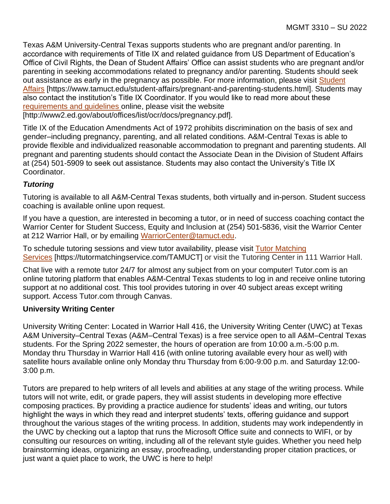Texas A&M University-Central Texas supports students who are pregnant and/or parenting. In accordance with requirements of Title IX and related guidance from US Department of Education's Office of Civil Rights, the Dean of Student Affairs' Office can assist students who are pregnant and/or parenting in seeking accommodations related to pregnancy and/or parenting. Students should seek out assistance as early in the pregnancy as possible. For more information, please visit [Student](https://www.tamuct.edu/student-affairs/pregnant-and-parenting-students.html)  [Affairs](https://www.tamuct.edu/student-affairs/pregnant-and-parenting-students.html) [https://www.tamuct.edu/student-affairs/pregnant-and-parenting-students.html]. Students may also contact the institution's Title IX Coordinator. If you would like to read more about these [requirements and guidelines](http://www2.ed.gov/about/offices/list/ocr/docs/pregnancy.pdf) online, please visit the website [http://www2.ed.gov/about/offices/list/ocr/docs/pregnancy.pdf].

Title IX of the Education Amendments Act of 1972 prohibits discrimination on the basis of sex and gender–including pregnancy, parenting, and all related conditions. A&M-Central Texas is able to provide flexible and individualized reasonable accommodation to pregnant and parenting students. All pregnant and parenting students should contact the Associate Dean in the Division of Student Affairs at (254) 501-5909 to seek out assistance. Students may also contact the University's Title IX Coordinator.

## *Tutoring*

Tutoring is available to all A&M-Central Texas students, both virtually and in-person. Student success coaching is available online upon request.

If you have a question, are interested in becoming a tutor, or in need of success coaching contact the Warrior Center for Student Success, Equity and Inclusion at (254) 501-5836, visit the Warrior Center at 212 Warrior Hall, or by emailing [WarriorCenter@tamuct.edu.](mailto:WarriorCenter@tamuct.edu)

To schedule tutoring sessions and view tutor availability, please visit Tutor [Matching](https://tutormatchingservice.com/TAMUCT) [Services](https://tutormatchingservice.com/TAMUCT) [https://tutormatchingservice.com/TAMUCT] or visit the Tutoring Center in 111 Warrior Hall.

Chat live with a remote tutor 24/7 for almost any subject from on your computer! Tutor.com is an online tutoring platform that enables A&M-Central Texas students to log in and receive online tutoring support at no additional cost. This tool provides tutoring in over 40 subject areas except writing support. Access Tutor.com through Canvas.

### **University Writing Center**

University Writing Center: Located in Warrior Hall 416, the University Writing Center (UWC) at Texas A&M University–Central Texas (A&M–Central Texas) is a free service open to all A&M–Central Texas students. For the Spring 2022 semester, the hours of operation are from 10:00 a.m.-5:00 p.m. Monday thru Thursday in Warrior Hall 416 (with online tutoring available every hour as well) with satellite hours available online only Monday thru Thursday from 6:00-9:00 p.m. and Saturday 12:00- 3:00 p.m.

Tutors are prepared to help writers of all levels and abilities at any stage of the writing process. While tutors will not write, edit, or grade papers, they will assist students in developing more effective composing practices. By providing a practice audience for students' ideas and writing, our tutors highlight the ways in which they read and interpret students' texts, offering guidance and support throughout the various stages of the writing process. In addition, students may work independently in the UWC by checking out a laptop that runs the Microsoft Office suite and connects to WIFI, or by consulting our resources on writing, including all of the relevant style guides. Whether you need help brainstorming ideas, organizing an essay, proofreading, understanding proper citation practices, or just want a quiet place to work, the UWC is here to help!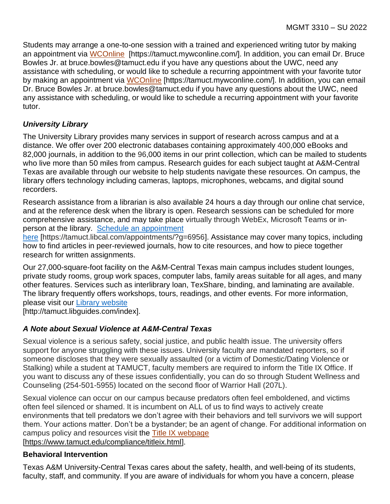Students may arrange a one-to-one session with a trained and experienced writing tutor by making an appointment via [WCOnline](https://tamuct.mywconline.com/) [https://tamuct.mywconline.com/]. In addition, you can email Dr. Bruce Bowles Jr. at bruce.bowles@tamuct.edu if you have any questions about the UWC, need any assistance with scheduling, or would like to schedule a recurring appointment with your favorite tutor by making an appointment via [WCOnline](https://tamuct.mywconline.com/) [https://tamuct.mywconline.com/]. In addition, you can email Dr. Bruce Bowles Jr. at bruce.bowles@tamuct.edu if you have any questions about the UWC, need any assistance with scheduling, or would like to schedule a recurring appointment with your favorite tutor.

# *University Library*

The University Library provides many services in support of research across campus and at a distance. We offer over 200 electronic databases containing approximately 400,000 eBooks and 82,000 journals, in addition to the 96,000 items in our print collection, which can be mailed to students who live more than 50 miles from campus. Research guides for each subject taught at A&M-Central Texas are available through our website to help students navigate these resources. On campus, the library offers technology including cameras, laptops, microphones, webcams, and digital sound recorders.

Research assistance from a librarian is also available 24 hours a day through our online chat service, and at the reference desk when the library is open. Research sessions can be scheduled for more comprehensive assistance, and may take place virtually through WebEx, Microsoft Teams or inperson at the library. Schedule an [appointment](https://nam04.safelinks.protection.outlook.com/?url=https%3A%2F%2Ftamuct.libcal.com%2Fappointments%2F%3Fg%3D6956&data=04%7C01%7Clisa.bunkowski%40tamuct.edu%7Cde2c07d9f5804f09518008d9ab7ba6ff%7C9eed4e3000f744849ff193ad8005acec%7C0%7C0%7C637729369835011558%7CUnknown%7CTWFpbGZsb3d8eyJWIjoiMC4wLjAwMDAiLCJQIjoiV2luMzIiLCJBTiI6Ik1haWwiLCJXVCI6Mn0%3D%7C3000&sdata=KhtjgRSAw9aq%2FoBsB6wyu8b7PSuGN5EGPypzr3Ty2No%3D&reserved=0)

[here](https://nam04.safelinks.protection.outlook.com/?url=https%3A%2F%2Ftamuct.libcal.com%2Fappointments%2F%3Fg%3D6956&data=04%7C01%7Clisa.bunkowski%40tamuct.edu%7Cde2c07d9f5804f09518008d9ab7ba6ff%7C9eed4e3000f744849ff193ad8005acec%7C0%7C0%7C637729369835011558%7CUnknown%7CTWFpbGZsb3d8eyJWIjoiMC4wLjAwMDAiLCJQIjoiV2luMzIiLCJBTiI6Ik1haWwiLCJXVCI6Mn0%3D%7C3000&sdata=KhtjgRSAw9aq%2FoBsB6wyu8b7PSuGN5EGPypzr3Ty2No%3D&reserved=0) [https://tamuct.libcal.com/appointments/?g=6956]. Assistance may cover many topics, including how to find articles in peer-reviewed journals, how to cite resources, and how to piece together research for written assignments.

Our 27,000-square-foot facility on the A&M-Central Texas main campus includes student lounges, private study rooms, group work spaces, computer labs, family areas suitable for all ages, and many other features. Services such as interlibrary loan, TexShare, binding, and laminating are available. The library frequently offers workshops, tours, readings, and other events. For more information, please visit our Library [website](https://nam04.safelinks.protection.outlook.com/?url=https%3A%2F%2Ftamuct.libguides.com%2Findex&data=04%7C01%7Clisa.bunkowski%40tamuct.edu%7C7d8489e8839a4915335f08d916f067f2%7C9eed4e3000f744849ff193ad8005acec%7C0%7C0%7C637566044056484222%7CUnknown%7CTWFpbGZsb3d8eyJWIjoiMC4wLjAwMDAiLCJQIjoiV2luMzIiLCJBTiI6Ik1haWwiLCJXVCI6Mn0%3D%7C1000&sdata=2R755V6rcIyedGrd4Os5rkgn1PvhHKU3kUV1vBKiHFo%3D&reserved=0)

[http://tamuct.libguides.com/index].

# *A Note about Sexual Violence at A&M-Central Texas*

Sexual violence is a serious safety, social justice, and public health issue. The university offers support for anyone struggling with these issues. University faculty are mandated reporters, so if someone discloses that they were sexually assaulted (or a victim of Domestic/Dating Violence or Stalking) while a student at TAMUCT, faculty members are required to inform the Title IX Office. If you want to discuss any of these issues confidentially, you can do so through Student Wellness and Counseling (254-501-5955) located on the second floor of Warrior Hall (207L).

Sexual violence can occur on our campus because predators often feel emboldened, and victims often feel silenced or shamed. It is incumbent on ALL of us to find ways to actively create environments that tell predators we don't agree with their behaviors and tell survivors we will support them. Your actions matter. Don't be a bystander; be an agent of change. For additional information on campus policy and resources visit the [Title IX webpage](https://www.tamuct.edu/compliance/titleix.html) [\[https://www.tamuct.edu/compliance/titleix.html\]](https://www.tamuct.edu/compliance/titleix.html).

**Behavioral Intervention**

Texas A&M University-Central Texas cares about the safety, health, and well-being of its students, faculty, staff, and community. If you are aware of individuals for whom you have a concern, please